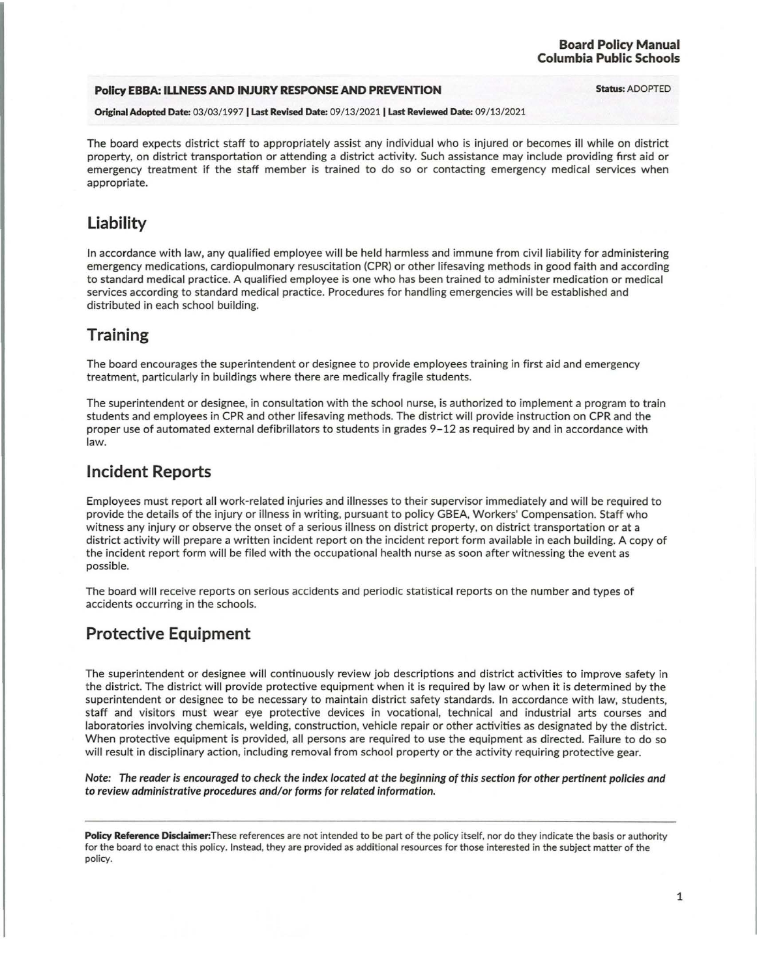#### **Board Policy Manual Columbia Public Schools**

#### **Policy EBBA: ILLNESS AND INJURY RESPONSE AND PREVENTION Status: ADOPTED**

Original Adopted Date: 03/03/1997 I Last Revised Date: 09 / 13/2021 I Last Reviewed Date: 09 /13/2021

The board expects district staff to appropriately assist any individual who is injured or becomes ill while on district property, on district transportation or attending a district activity. Such assistance may include providing first aid or emergency treatment if the staff member is trained to do so or contacting emergency medical services when appropriate.

# **Liability**

In accordance with law, any qualified employee will be held harmless and immune from civil liability for administering emergency medications, cardiopulmonary resuscitation (CPR) or other lifesaving methods in good faith and according to standard medical practice. A qualified employee is one who has been trained to administer medication or medical services according to standard medical practice. Procedures for handling emergencies will be established and distributed in each school building.

# **Training**

The board encourages the superintendent or designee to provide employees training in first aid and emergency treatment, particularly in buildings where there are medically fragile students.

The superintendent or designee, in consultation with the school nurse, is authorized to implement a program to train students and employees in CPR and other lifesaving methods. The district will provide instruction on CPR and the proper use of automated external defibrillators to students in grades 9-12 as required by and in accordance with law.

## **Incident Reports**

Employees must report all work-related injuries and illnesses to their supervisor immediately and will be required to provide the details of the injury or illness in writing, pursuant to policy GBEA, Workers' Compensation. Staff who witness any injury or observe the onset of a serious illness on district property, on district transportation or at a district activity will prepare a written incident report on the incident report form available in each building. A copy of the incident report form will be filed with the occupational health nurse as soon after witnessing the event as possible.

The board will receive reports on serious accidents and periodic statistical reports on the number and types of accidents occurring in the schools.

## **Protective Equipment**

The superintendent or designee will continuously review job descriptions and district activities to improve safety in the district. The district will provide protective equipment when it is required by law or when it is determined by the superintendent or designee to be necessary to maintain district safety standards. In accordance with law, students, staff and visitors must wear eye protective devices in vocational, technical and industrial arts courses and laboratories involving chemicals, welding, construction, vehicle repair or other activities as designated by the district. When protective equipment is provided, all persons are required to use the equipment as directed. Failure to do so will result in disciplinary action, including removal from school property or the activity requiring protective gear.

Note: The reader is encouraged to check the index located at the beginning of this section for other pertinent policies and to review administrative procedures and/or forms for related information.

Policy Reference Disclaimer: These references are not intended to be part of the policy itself, nor do they indicate the basis or authority for the board to enact this policy. Instead, they are provided as additional resources for those interested in the subject matter of the policy.